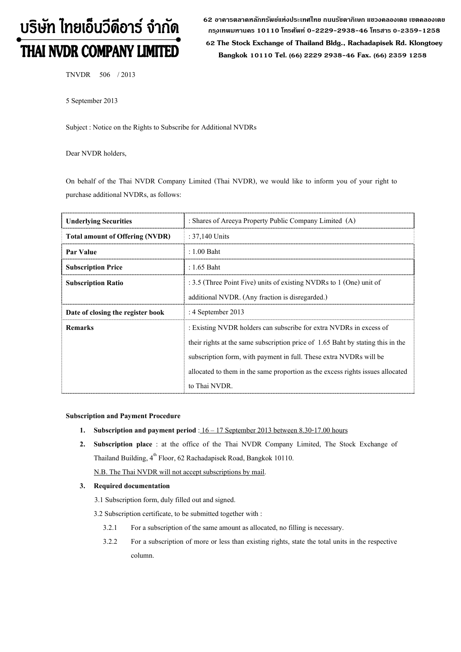# บริษัท ไทยเอ็นวีดีอาร์ จำกัด THAI NVDR COMPANY LIMITED

**62 อาคารตลาดหลักทรัพย์แห่งประเทศไทย ถนนรัชดาภิเษก แขวงคลองเตย เขตคลองเตย กร ุงเทพมหานคร 10110 โทรศัพท์ 0-2229-2938-46 โทรสาร 0-2359-1258**

 **62 The Stock Exchange of Thailand Bldg., Rachadapisek Rd. Klongtoey Bangkok 10110 Tel. (66) 2229 2938-46 Fax. (66) 2359 1258**

TNVDR 506 / 2013

5 September 2013

Subject : Notice on the Rights to Subscribe for Additional NVDRs

Dear NVDR holders,

On behalf of the Thai NVDR Company Limited (Thai NVDR), we would like to inform you of your right to purchase additional NVDRs, as follows:

| <b>Underlying Securities</b>           | : Shares of Areeya Property Public Company Limited (A)                                                                 |  |  |
|----------------------------------------|------------------------------------------------------------------------------------------------------------------------|--|--|
| <b>Total amount of Offering (NVDR)</b> | : $37,140$ Units                                                                                                       |  |  |
| <b>Par Value</b>                       | $: 1.00$ Baht                                                                                                          |  |  |
| <b>Subscription Price</b>              | : 1.65 Baht                                                                                                            |  |  |
| <b>Subscription Ratio</b>              | : 3.5 (Three Point Five) units of existing NVDRs to 1 (One) unit of<br>additional NVDR. (Any fraction is disregarded.) |  |  |
|                                        |                                                                                                                        |  |  |
| Date of closing the register book      | : 4 September 2013                                                                                                     |  |  |
| <b>Remarks</b>                         | : Existing NVDR holders can subscribe for extra NVDRs in excess of                                                     |  |  |
|                                        | their rights at the same subscription price of 1.65 Baht by stating this in the                                        |  |  |
|                                        | subscription form, with payment in full. These extra NVDRs will be                                                     |  |  |
|                                        | allocated to them in the same proportion as the excess rights issues allocated                                         |  |  |
|                                        | to Thai NVDR.                                                                                                          |  |  |

#### **Subscription and Payment Procedure**

- **1. Subscription and payment period** : 16 17 September 2013 between 8.30-17.00 hours
- **2. Subscription place** : at the office of the Thai NVDR Company Limited, The Stock Exchange of Thailand Building, 4<sup>th</sup> Floor, 62 Rachadapisek Road, Bangkok 10110.

N.B. The Thai NVDR will not accept subscriptions by mail.

### **3. Required documentation**

- 3.1 Subscription form, duly filled out and signed.
- 3.2 Subscription certificate, to be submitted together with :
	- 3.2.1 For a subscription of the same amount as allocated, no filling is necessary.
	- 3.2.2 For a subscription of more or less than existing rights, state the total units in the respective column.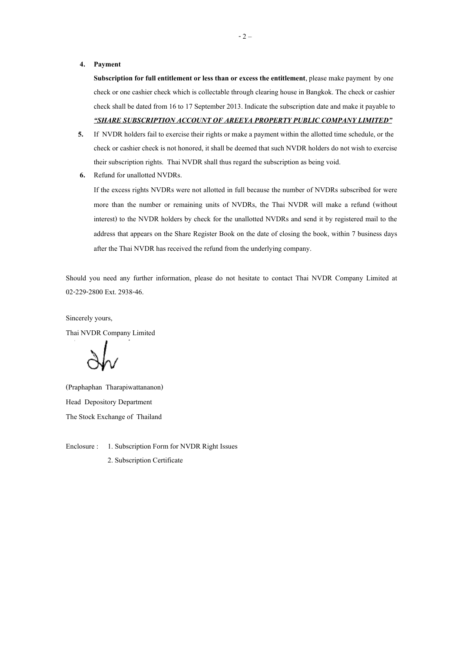#### **4. Payment**

**Subscription for full entitlement or less than or excess the entitlement**, please make payment by one check or one cashier check which is collectable through clearing house in Bangkok. The check or cashier check shall be dated from 16 to 17 September 2013. Indicate the subscription date and make it payable to *"SHARE SUBSCRIPTION ACCOUNT OF AREEYA PROPERTY PUBLIC COMPANY LIMITED"*

- **5.** If NVDR holders fail to exercise their rights or make a payment within the allotted time schedule, or the check or cashier check is not honored, it shall be deemed that such NVDR holders do not wish to exercise their subscription rights. Thai NVDR shall thus regard the subscription as being void.
- **6.** Refund for unallotted NVDRs.

If the excess rights NVDRs were not allotted in full because the number of NVDRs subscribed for were more than the number or remaining units of NVDRs, the Thai NVDR will make a refund (without interest) to the NVDR holders by check for the unallotted NVDRs and send it by registered mail to the address that appears on the Share Register Book on the date of closing the book, within 7 business days after the Thai NVDR has received the refund from the underlying company.

Should you need any further information, please do not hesitate to contact Thai NVDR Company Limited at 02-229-2800 Ext. 2938-46.

Sincerely yours,

Thai NVDR Company Limited

(Praphaphan Tharapiwattananon) Head Depository Department The Stock Exchange of Thailand

Enclosure : 1. Subscription Form for NVDR Right Issues

2. Subscription Certificate